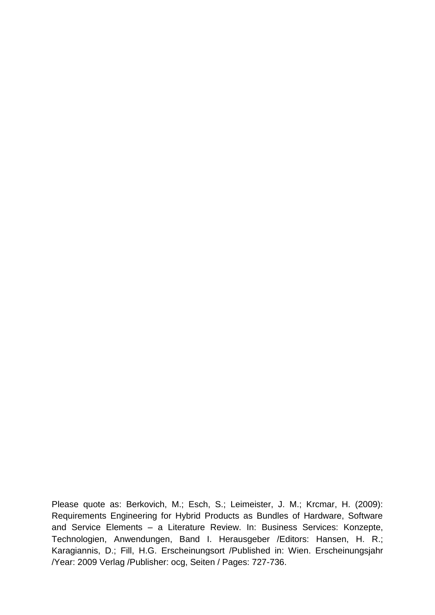Please quote as: Berkovich, M.; Esch, S.; Leimeister, J. M.; Krcmar, H. (2009): Requirements Engineering for Hybrid Products as Bundles of Hardware, Software and Service Elements – a Literature Review. In: Business Services: Konzepte, Technologien, Anwendungen, Band I. Herausgeber /Editors: Hansen, H. R.; Karagiannis, D.; Fill, H.G. Erscheinungsort /Published in: Wien. Erscheinungsjahr /Year: 2009 Verlag /Publisher: ocg, Seiten / Pages: 727-736.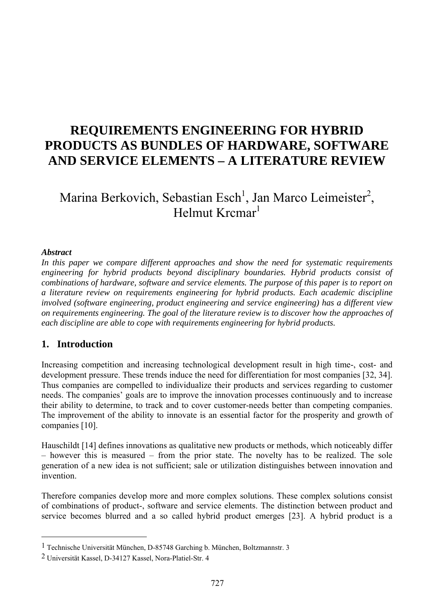## **REQUIREMENTS ENGINEERING FOR HYBRID PRODUCTS AS BUNDLES OF HARDWARE, SOFTWARE AND SERVICE ELEMENTS – A LITERATURE REVIEW**

# Marina Berkovich, Sebastian Esch<sup>1</sup>, Jan Marco Leimeister<sup>2</sup>, Helmut Krcmar<sup>1</sup>

#### *Abstract*

 $\overline{a}$ 

*In this paper we compare different approaches and show the need for systematic requirements engineering for hybrid products beyond disciplinary boundaries. Hybrid products consist of combinations of hardware, software and service elements. The purpose of this paper is to report on a literature review on requirements engineering for hybrid products. Each academic discipline involved (software engineering, product engineering and service engineering) has a different view on requirements engineering. The goal of the literature review is to discover how the approaches of each discipline are able to cope with requirements engineering for hybrid products.* 

## **1. Introduction**

Increasing competition and increasing technological development result in high time-, cost- and development pressure. These trends induce the need for differentiation for most companies [32, 34]. Thus companies are compelled to individualize their products and services regarding to customer needs. The companies' goals are to improve the innovation processes continuously and to increase their ability to determine, to track and to cover customer-needs better than competing companies. The improvement of the ability to innovate is an essential factor for the prosperity and growth of companies [10].

Hauschildt [14] defines innovations as qualitative new products or methods, which noticeably differ – however this is measured – from the prior state. The novelty has to be realized. The sole generation of a new idea is not sufficient; sale or utilization distinguishes between innovation and invention.

Therefore companies develop more and more complex solutions. These complex solutions consist of combinations of product-, software and service elements. The distinction between product and service becomes blurred and a so called hybrid product emerges [23]. A hybrid product is a

<sup>1</sup> Technische Universität München, D-85748 Garching b. München, Boltzmannstr. 3

<sup>2</sup> Universität Kassel, D-34127 Kassel, Nora-Platiel-Str. 4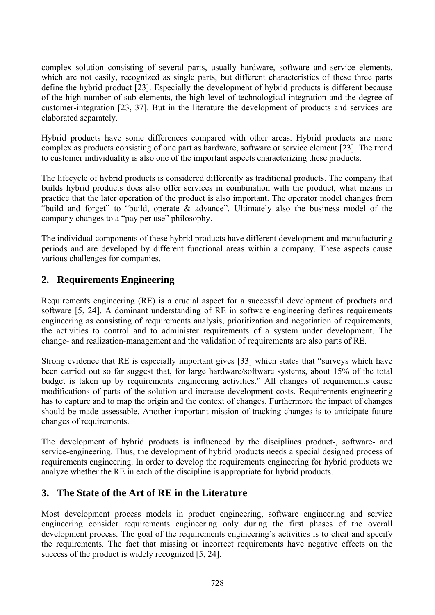complex solution consisting of several parts, usually hardware, software and service elements, which are not easily, recognized as single parts, but different characteristics of these three parts define the hybrid product [23]. Especially the development of hybrid products is different because of the high number of sub-elements, the high level of technological integration and the degree of customer-integration [23, 37]. But in the literature the development of products and services are elaborated separately.

Hybrid products have some differences compared with other areas. Hybrid products are more complex as products consisting of one part as hardware, software or service element [23]. The trend to customer individuality is also one of the important aspects characterizing these products.

The lifecycle of hybrid products is considered differently as traditional products. The company that builds hybrid products does also offer services in combination with the product, what means in practice that the later operation of the product is also important. The operator model changes from "build and forget" to "build, operate & advance". Ultimately also the business model of the company changes to a "pay per use" philosophy.

The individual components of these hybrid products have different development and manufacturing periods and are developed by different functional areas within a company. These aspects cause various challenges for companies.

## **2. Requirements Engineering**

Requirements engineering (RE) is a crucial aspect for a successful development of products and software [5, 24]. A dominant understanding of RE in software engineering defines requirements engineering as consisting of requirements analysis, prioritization and negotiation of requirements, the activities to control and to administer requirements of a system under development. The change- and realization-management and the validation of requirements are also parts of RE.

Strong evidence that RE is especially important gives [33] which states that "surveys which have been carried out so far suggest that, for large hardware/software systems, about 15% of the total budget is taken up by requirements engineering activities." All changes of requirements cause modifications of parts of the solution and increase development costs. Requirements engineering has to capture and to map the origin and the context of changes. Furthermore the impact of changes should be made assessable. Another important mission of tracking changes is to anticipate future changes of requirements.

The development of hybrid products is influenced by the disciplines product-, software- and service-engineering. Thus, the development of hybrid products needs a special designed process of requirements engineering. In order to develop the requirements engineering for hybrid products we analyze whether the RE in each of the discipline is appropriate for hybrid products.

## **3. The State of the Art of RE in the Literature**

Most development process models in product engineering, software engineering and service engineering consider requirements engineering only during the first phases of the overall development process. The goal of the requirements engineering's activities is to elicit and specify the requirements. The fact that missing or incorrect requirements have negative effects on the success of the product is widely recognized [5, 24].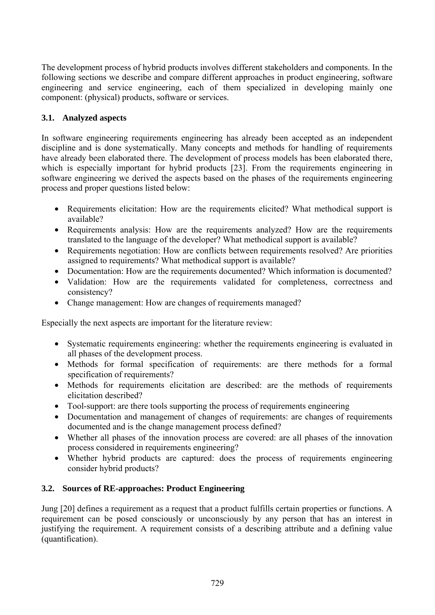The development process of hybrid products involves different stakeholders and components. In the following sections we describe and compare different approaches in product engineering, software engineering and service engineering, each of them specialized in developing mainly one component: (physical) products, software or services.

#### **3.1. Analyzed aspects**

In software engineering requirements engineering has already been accepted as an independent discipline and is done systematically. Many concepts and methods for handling of requirements have already been elaborated there. The development of process models has been elaborated there, which is especially important for hybrid products [23]. From the requirements engineering in software engineering we derived the aspects based on the phases of the requirements engineering process and proper questions listed below:

- Requirements elicitation: How are the requirements elicited? What methodical support is available?
- Requirements analysis: How are the requirements analyzed? How are the requirements translated to the language of the developer? What methodical support is available?
- Requirements negotiation: How are conflicts between requirements resolved? Are priorities assigned to requirements? What methodical support is available?
- Documentation: How are the requirements documented? Which information is documented?
- Validation: How are the requirements validated for completeness, correctness and consistency?
- Change management: How are changes of requirements managed?

Especially the next aspects are important for the literature review:

- Systematic requirements engineering: whether the requirements engineering is evaluated in all phases of the development process.
- Methods for formal specification of requirements: are there methods for a formal specification of requirements?
- Methods for requirements elicitation are described: are the methods of requirements elicitation described?
- Tool-support: are there tools supporting the process of requirements engineering
- Documentation and management of changes of requirements: are changes of requirements documented and is the change management process defined?
- Whether all phases of the innovation process are covered: are all phases of the innovation process considered in requirements engineering?
- Whether hybrid products are captured: does the process of requirements engineering consider hybrid products?

#### **3.2. Sources of RE-approaches: Product Engineering**

Jung [20] defines a requirement as a request that a product fulfills certain properties or functions. A requirement can be posed consciously or unconsciously by any person that has an interest in justifying the requirement. A requirement consists of a describing attribute and a defining value (quantification).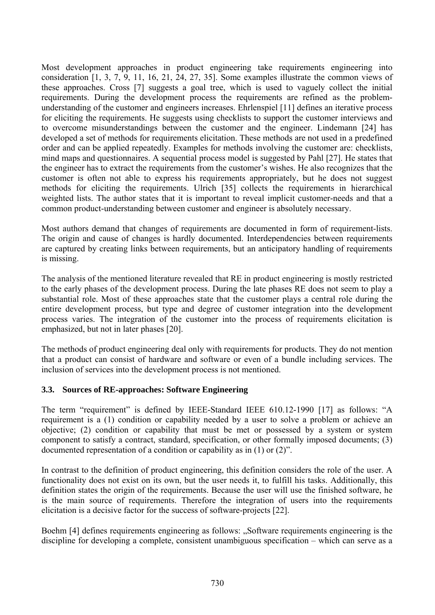Most development approaches in product engineering take requirements engineering into consideration [1, 3, 7, 9, 11, 16, 21, 24, 27, 35]. Some examples illustrate the common views of these approaches. Cross [7] suggests a goal tree, which is used to vaguely collect the initial requirements. During the development process the requirements are refined as the problemunderstanding of the customer and engineers increases. Ehrlenspiel [11] defines an iterative process for eliciting the requirements. He suggests using checklists to support the customer interviews and to overcome misunderstandings between the customer and the engineer. Lindemann [24] has developed a set of methods for requirements elicitation. These methods are not used in a predefined order and can be applied repeatedly. Examples for methods involving the customer are: checklists, mind maps and questionnaires. A sequential process model is suggested by Pahl [27]. He states that the engineer has to extract the requirements from the customer's wishes. He also recognizes that the customer is often not able to express his requirements appropriately, but he does not suggest methods for eliciting the requirements. Ulrich [35] collects the requirements in hierarchical weighted lists. The author states that it is important to reveal implicit customer-needs and that a common product-understanding between customer and engineer is absolutely necessary.

Most authors demand that changes of requirements are documented in form of requirement-lists. The origin and cause of changes is hardly documented. Interdependencies between requirements are captured by creating links between requirements, but an anticipatory handling of requirements is missing.

The analysis of the mentioned literature revealed that RE in product engineering is mostly restricted to the early phases of the development process. During the late phases RE does not seem to play a substantial role. Most of these approaches state that the customer plays a central role during the entire development process, but type and degree of customer integration into the development process varies. The integration of the customer into the process of requirements elicitation is emphasized, but not in later phases [20].

The methods of product engineering deal only with requirements for products. They do not mention that a product can consist of hardware and software or even of a bundle including services. The inclusion of services into the development process is not mentioned.

#### **3.3. Sources of RE-approaches: Software Engineering**

The term "requirement" is defined by IEEE-Standard IEEE 610.12-1990 [17] as follows: "A requirement is a (1) condition or capability needed by a user to solve a problem or achieve an objective; (2) condition or capability that must be met or possessed by a system or system component to satisfy a contract, standard, specification, or other formally imposed documents; (3) documented representation of a condition or capability as in (1) or (2)".

In contrast to the definition of product engineering, this definition considers the role of the user. A functionality does not exist on its own, but the user needs it, to fulfill his tasks. Additionally, this definition states the origin of the requirements. Because the user will use the finished software, he is the main source of requirements. Therefore the integration of users into the requirements elicitation is a decisive factor for the success of software-projects [22].

Boehm [4] defines requirements engineering as follows: "Software requirements engineering is the discipline for developing a complete, consistent unambiguous specification – which can serve as a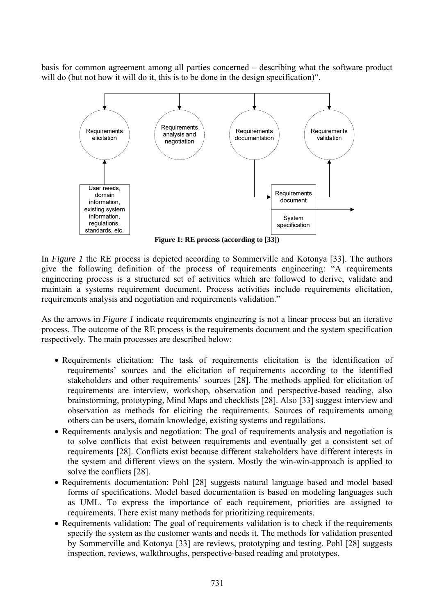basis for common agreement among all parties concerned – describing what the software product will do (but not how it will do it, this is to be done in the design specification)".



**Figure 1: RE process (according to [33])** 

In *Figure 1* the RE process is depicted according to Sommerville and Kotonya [33]. The authors give the following definition of the process of requirements engineering: "A requirements engineering process is a structured set of activities which are followed to derive, validate and maintain a systems requirement document. Process activities include requirements elicitation, requirements analysis and negotiation and requirements validation."

As the arrows in *Figure 1* indicate requirements engineering is not a linear process but an iterative process. The outcome of the RE process is the requirements document and the system specification respectively. The main processes are described below:

- Requirements elicitation: The task of requirements elicitation is the identification of requirements' sources and the elicitation of requirements according to the identified stakeholders and other requirements' sources [28]. The methods applied for elicitation of requirements are interview, workshop, observation and perspective-based reading, also brainstorming, prototyping, Mind Maps and checklists [28]. Also [33] suggest interview and observation as methods for eliciting the requirements. Sources of requirements among others can be users, domain knowledge, existing systems and regulations.
- Requirements analysis and negotiation: The goal of requirements analysis and negotiation is to solve conflicts that exist between requirements and eventually get a consistent set of requirements [28]. Conflicts exist because different stakeholders have different interests in the system and different views on the system. Mostly the win-win-approach is applied to solve the conflicts [28].
- Requirements documentation: Pohl [28] suggests natural language based and model based forms of specifications. Model based documentation is based on modeling languages such as UML. To express the importance of each requirement, priorities are assigned to requirements. There exist many methods for prioritizing requirements.
- Requirements validation: The goal of requirements validation is to check if the requirements specify the system as the customer wants and needs it. The methods for validation presented by Sommerville and Kotonya [33] are reviews, prototyping and testing. Pohl [28] suggests inspection, reviews, walkthroughs, perspective-based reading and prototypes.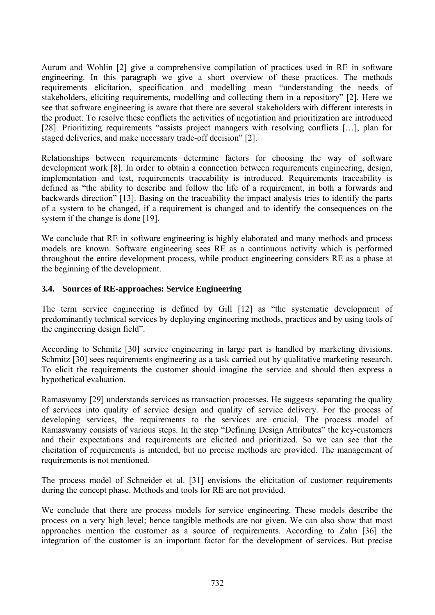Aurum and Wohlin [2] give a comprehensive compilation of practices used in RE in software engineering. In this paragraph we give a short overview of these practices. The methods requirements elicitation, specification and modelling mean "understanding the needs of stakeholders, eliciting requirements, modelling and collecting them in a repository" [2]. Here we see that software engineering is aware that there are several stakeholders with different interests in the product. To resolve these conflicts the activities of negotiation and prioritization are introduced [28]. Prioritizing requirements "assists project managers with resolving conflicts […], plan for staged deliveries, and make necessary trade-off decision" [2].

Relationships between requirements determine factors for choosing the way of software development work [8]. In order to obtain a connection between requirements engineering, design, implementation and test, requirements traceability is introduced. Requirements traceability is defined as "the ability to describe and follow the life of a requirement, in both a forwards and backwards direction" [13]. Basing on the traceability the impact analysis tries to identify the parts of a system to be changed, if a requirement is changed and to identify the consequences on the system if the change is done [19].

We conclude that RE in software engineering is highly elaborated and many methods and process models are known. Software engineering sees RE as a continuous activity which is performed throughout the entire development process, while product engineering considers RE as a phase at the beginning of the development.

#### **3.4. Sources of RE-approaches: Service Engineering**

The term service engineering is defined by Gill [12] as "the systematic development of predominantly technical services by deploying engineering methods, practices and by using tools of the engineering design field".

According to Schmitz [30] service engineering in large part is handled by marketing divisions. Schmitz [30] sees requirements engineering as a task carried out by qualitative marketing research. To elicit the requirements the customer should imagine the service and should then express a hypothetical evaluation.

Ramaswamy [29] understands services as transaction processes. He suggests separating the quality of services into quality of service design and quality of service delivery. For the process of developing services, the requirements to the services are crucial. The process model of Ramaswamy consists of various steps. In the step "Defining Design Attributes" the key-customers and their expectations and requirements are elicited and prioritized. So we can see that the elicitation of requirements is intended, but no precise methods are provided. The management of requirements is not mentioned.

The process model of Schneider et al. [31] envisions the elicitation of customer requirements during the concept phase. Methods and tools for RE are not provided.

We conclude that there are process models for service engineering. These models describe the process on a very high level; hence tangible methods are not given. We can also show that most approaches mention the customer as a source of requirements. According to Zahn [36] the integration of the customer is an important factor for the development of services. But precise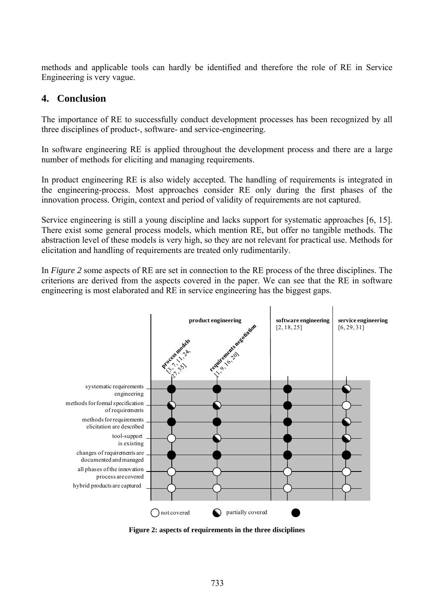methods and applicable tools can hardly be identified and therefore the role of RE in Service Engineering is very vague.

## **4. Conclusion**

The importance of RE to successfully conduct development processes has been recognized by all three disciplines of product-, software- and service-engineering.

In software engineering RE is applied throughout the development process and there are a large number of methods for eliciting and managing requirements.

In product engineering RE is also widely accepted. The handling of requirements is integrated in the engineering-process. Most approaches consider RE only during the first phases of the innovation process. Origin, context and period of validity of requirements are not captured.

Service engineering is still a young discipline and lacks support for systematic approaches [6, 15]. There exist some general process models, which mention RE, but offer no tangible methods. The abstraction level of these models is very high, so they are not relevant for practical use. Methods for elicitation and handling of requirements are treated only rudimentarily.

In *Figure 2* some aspects of RE are set in connection to the RE process of the three disciplines. The criterions are derived from the aspects covered in the paper. We can see that the RE in software engineering is most elaborated and RE in service engineering has the biggest gaps.



**Figure 2: aspects of requirements in the three disciplines**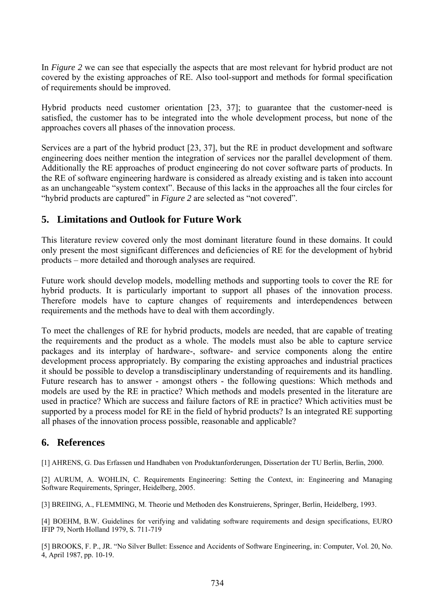In *Figure 2* we can see that especially the aspects that are most relevant for hybrid product are not covered by the existing approaches of RE. Also tool-support and methods for formal specification of requirements should be improved.

Hybrid products need customer orientation [23, 37]; to guarantee that the customer-need is satisfied, the customer has to be integrated into the whole development process, but none of the approaches covers all phases of the innovation process.

Services are a part of the hybrid product [23, 37], but the RE in product development and software engineering does neither mention the integration of services nor the parallel development of them. Additionally the RE approaches of product engineering do not cover software parts of products. In the RE of software engineering hardware is considered as already existing and is taken into account as an unchangeable "system context". Because of this lacks in the approaches all the four circles for "hybrid products are captured" in *Figure 2* are selected as "not covered".

## **5. Limitations and Outlook for Future Work**

This literature review covered only the most dominant literature found in these domains. It could only present the most significant differences and deficiencies of RE for the development of hybrid products – more detailed and thorough analyses are required.

Future work should develop models, modelling methods and supporting tools to cover the RE for hybrid products. It is particularly important to support all phases of the innovation process. Therefore models have to capture changes of requirements and interdependences between requirements and the methods have to deal with them accordingly.

To meet the challenges of RE for hybrid products, models are needed, that are capable of treating the requirements and the product as a whole. The models must also be able to capture service packages and its interplay of hardware-, software- and service components along the entire development process appropriately. By comparing the existing approaches and industrial practices it should be possible to develop a transdisciplinary understanding of requirements and its handling. Future research has to answer - amongst others - the following questions: Which methods and models are used by the RE in practice? Which methods and models presented in the literature are used in practice? Which are success and failure factors of RE in practice? Which activities must be supported by a process model for RE in the field of hybrid products? Is an integrated RE supporting all phases of the innovation process possible, reasonable and applicable?

## **6. References**

[1] AHRENS, G. Das Erfassen und Handhaben von Produktanforderungen, Dissertation der TU Berlin, Berlin, 2000.

[2] AURUM, A. WOHLIN, C. Requirements Engineering: Setting the Context, in: Engineering and Managing Software Requirements, Springer, Heidelberg, 2005.

[3] BREIING, A., FLEMMING, M. Theorie und Methoden des Konstruierens, Springer, Berlin, Heidelberg, 1993.

[4] BOEHM, B.W. Guidelines for verifying and validating software requirements and design specifications, EURO IFIP 79, North Holland 1979, S. 711-719

[5] BROOKS, F. P., JR. "No Silver Bullet: Essence and Accidents of Software Engineering, in: Computer, Vol. 20, No. 4, April 1987, pp. 10-19.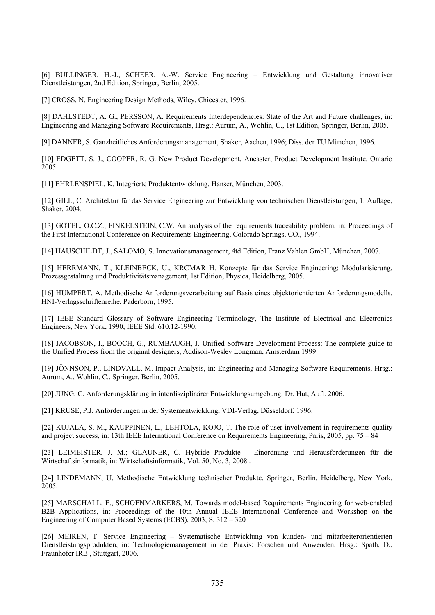[6] BULLINGER, H.-J., SCHEER, A.-W. Service Engineering – Entwicklung und Gestaltung innovativer Dienstleistungen, 2nd Edition, Springer, Berlin, 2005.

[7] CROSS, N. Engineering Design Methods, Wiley, Chicester, 1996.

[8] DAHLSTEDT, A. G., PERSSON, A. Requirements Interdependencies: State of the Art and Future challenges, in: Engineering and Managing Software Requirements, Hrsg.: Aurum, A., Wohlin, C., 1st Edition, Springer, Berlin, 2005.

[9] DANNER, S. Ganzheitliches Anforderungsmanagement, Shaker, Aachen, 1996; Diss. der TU München, 1996.

[10] EDGETT, S. J., COOPER, R. G. New Product Development, Ancaster, Product Development Institute, Ontario 2005.

[11] EHRLENSPIEL, K. Integrierte Produktentwicklung, Hanser, München, 2003.

[12] GILL, C. Architektur für das Service Engineering zur Entwicklung von technischen Dienstleistungen, 1. Auflage, Shaker, 2004.

[13] GOTEL, O.C.Z., FINKELSTEIN, C.W. An analysis of the requirements traceability problem, in: Proceedings of the First International Conference on Requirements Engineering, Colorado Springs, CO., 1994.

[14] HAUSCHILDT, J., SALOMO, S. Innovationsmanagement, 4td Edition, Franz Vahlen GmbH, München, 2007.

[15] HERRMANN, T., KLEINBECK, U., KRCMAR H. Konzepte für das Service Engineering: Modularisierung, Prozessgestaltung und Produktivitätsmanagement, 1st Edition, Physica, Heidelberg, 2005.

[16] HUMPERT, A. Methodische Anforderungsverarbeitung auf Basis eines objektorientierten Anforderungsmodells, HNI-Verlagsschriftenreihe, Paderborn, 1995.

[17] IEEE Standard Glossary of Software Engineering Terminology, The Institute of Electrical and Electronics Engineers, New York, 1990, IEEE Std. 610.12-1990.

[18] JACOBSON, I., BOOCH, G., RUMBAUGH, J. Unified Software Development Process: The complete guide to the Unified Process from the original designers, Addison-Wesley Longman, Amsterdam 1999.

[19] JÖNNSON, P., LINDVALL, M. Impact Analysis, in: Engineering and Managing Software Requirements, Hrsg.: Aurum, A., Wohlin, C., Springer, Berlin, 2005.

[20] JUNG, C. Anforderungsklärung in interdisziplinärer Entwicklungsumgebung, Dr. Hut, Aufl. 2006.

[21] KRUSE, P.J. Anforderungen in der Systementwicklung, VDI-Verlag, Düsseldorf, 1996.

[22] KUJALA, S. M., KAUPPINEN, L., LEHTOLA, KOJO, T. The role of user involvement in requirements quality and project success, in: 13th IEEE International Conference on Requirements Engineering, Paris, 2005, pp. 75 – 84

[23] LEIMEISTER, J. M.; GLAUNER, C. Hybride Produkte – Einordnung und Herausforderungen für die Wirtschaftsinformatik, in: Wirtschaftsinformatik, Vol. 50, No. 3, 2008 .

[24] LINDEMANN, U. Methodische Entwicklung technischer Produkte, Springer, Berlin, Heidelberg, New York, 2005.

[25] MARSCHALL, F., SCHOENMARKERS, M. Towards model-based Requirements Engineering for web-enabled B2B Applications, in: Proceedings of the 10th Annual IEEE International Conference and Workshop on the Engineering of Computer Based Systems (ECBS), 2003, S. 312 – 320

[26] MEIREN, T. Service Engineering – Systematische Entwicklung von kunden- und mitarbeiterorientierten Dienstleistungsprodukten, in: Technologiemanagement in der Praxis: Forschen und Anwenden, Hrsg.: Spath, D., Fraunhofer IRB , Stuttgart, 2006.